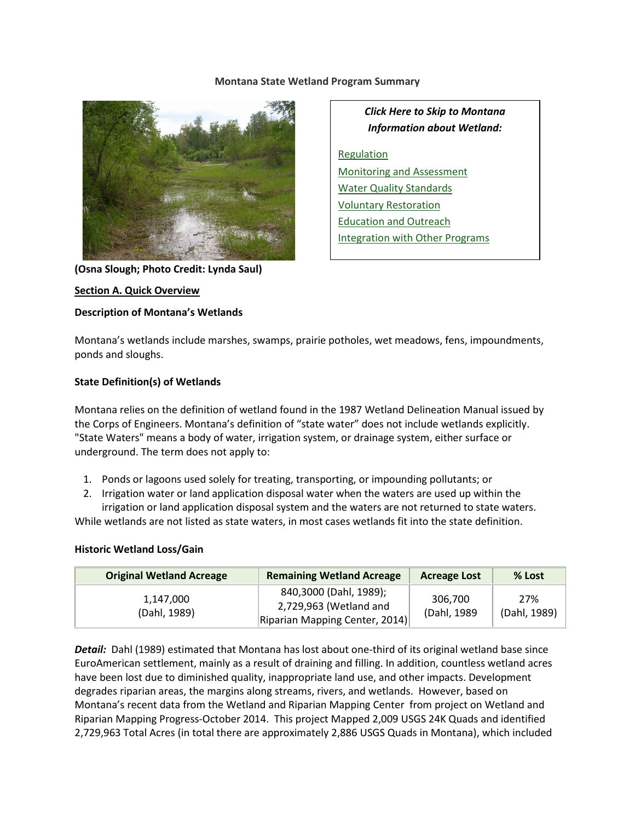#### **Montana State Wetland Program Summary**



**(Osna Slough; Photo Credit: Lynda Saul)**

#### **Section A. Quick Overview**

#### **Description of Montana's Wetlands**

*Click Here to Skip to Montana Information about Wetland:*

**[Regulation](#page-3-0)** [Monitoring and Assessment](#page-5-0) [Water Quality Standards](#page-7-0) [Voluntary Restoration](#page-8-0) [Education and Outreach](#page-9-0) [Integration with Other Programs](#page-10-0)

Montana's wetlands include marshes, swamps, prairie potholes, wet meadows, fens, impoundments, ponds and sloughs.

## **State Definition(s) of Wetlands**

Montana relies on the definition of wetland found in the 1987 Wetland Delineation Manual issued by the Corps of Engineers. Montana's definition of "state water" does not include wetlands explicitly. "State Waters" means a body of water, irrigation system, or drainage system, either surface or underground. The term does not apply to:

- 1. Ponds or lagoons used solely for treating, transporting, or impounding pollutants; or
- 2. Irrigation water or land application disposal water when the waters are used up within the

irrigation or land application disposal system and the waters are not returned to state waters. While wetlands are not listed as state waters, in most cases wetlands fit into the state definition.

#### **Historic Wetland Loss/Gain**

| <b>Original Wetland Acreage</b> | <b>Remaining Wetland Acreage</b>                                                   | <b>Acreage Lost</b>     | % Lost              |
|---------------------------------|------------------------------------------------------------------------------------|-------------------------|---------------------|
| 1,147,000<br>(Dahl, 1989)       | 840,3000 (Dahl, 1989);<br>2,729,963 (Wetland and<br>Riparian Mapping Center, 2014) | 306.700<br>(Dahl, 1989) | 27%<br>(Dahl, 1989) |

*Detail:* Dahl (1989) estimated that Montana has lost about one-third of its original wetland base since EuroAmerican settlement, mainly as a result of draining and filling. In addition, countless wetland acres have been lost due to diminished quality, inappropriate land use, and other impacts. Development degrades riparian areas, the margins along streams, rivers, and wetlands. However, based on Montana's recent data from the Wetland and Riparian Mapping Center from project on Wetland and Riparian Mapping Progress-October 2014. This project Mapped 2,009 USGS 24K Quads and identified 2,729,963 Total Acres (in total there are approximately 2,886 USGS Quads in Montana), which included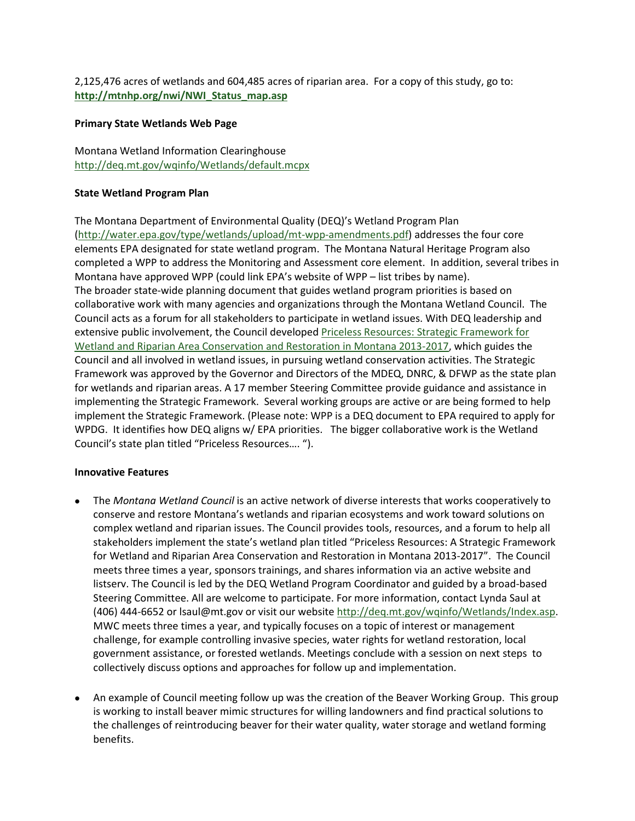2,125,476 acres of wetlands and 604,485 acres of riparian area. For a copy of this study, go to: **[http://mtnhp.org/nwi/NWI\\_Status\\_map.asp](http://mtnhp.org/nwi/NWI_Status_map.asp)**

#### **Primary State Wetlands Web Page**

Montana Wetland Information Clearinghouse <http://deq.mt.gov/wqinfo/Wetlands/default.mcpx>

#### **State Wetland Program Plan**

The Montana Department of Environmental Quality (DEQ)'s Wetland Program Plan [\(http://water.epa.gov/type/wetlands/upload/mt-wpp-amendments.pdf\)](http://water.epa.gov/type/wetlands/upload/mt-wpp-amendments.pdf) addresses the four core elements EPA designated for state wetland program. The Montana Natural Heritage Program also completed a WPP to address the Monitoring and Assessment core element. In addition, several tribes in Montana have approved WPP (could link EPA's website of WPP – list tribes by name). The broader state-wide planning document that guides wetland program priorities is based on collaborative work with many agencies and organizations through the Montana Wetland Council. The Council acts as a forum for all stakeholders to participate in wetland issues. With DEQ leadership and extensive public involvement, the Council developed [Priceless Resources: Strategic Framework for](http://deq.mt.gov/wqinfo/Wetlands/PDFs/StategicFramework2013-2017.pdf)  [Wetland and Riparian Area Conservation and Restoration in Montana 2013-2017,](http://deq.mt.gov/wqinfo/Wetlands/PDFs/StategicFramework2013-2017.pdf) which guides the Council and all involved in wetland issues, in pursuing wetland conservation activities. The Strategic Framework was approved by the Governor and Directors of the MDEQ, DNRC, & DFWP as the state plan for wetlands and riparian areas. A 17 member Steering Committee provide guidance and assistance in implementing the Strategic Framework. Several working groups are active or are being formed to help implement the Strategic Framework. (Please note: WPP is a DEQ document to EPA required to apply for WPDG. It identifies how DEQ aligns w/ EPA priorities. The bigger collaborative work is the Wetland Council's state plan titled "Priceless Resources…. ").

## **Innovative Features**

- The *Montana Wetland Council* is an active network of diverse interests that works cooperatively to conserve and restore Montana's wetlands and riparian ecosystems and work toward solutions on complex wetland and riparian issues. The Council provides tools, resources, and a forum to help all stakeholders implement the state's wetland plan titled "Priceless Resources: A Strategic Framework for Wetland and Riparian Area Conservation and Restoration in Montana 2013-2017". The Council meets three times a year, sponsors trainings, and shares information via an active website and listserv. The Council is led by the DEQ Wetland Program Coordinator and guided by a broad-based Steering Committee. All are welcome to participate. For more information, contact Lynda Saul at (406) 444-6652 or lsaul@mt.gov or visit our website [http://deq.mt.gov/wqinfo/Wetlands/Index.asp.](http://deq.mt.gov/wqinfo/Wetlands/Index.asp) MWC meets three times a year, and typically focuses on a topic of interest or management challenge, for example controlling invasive species, water rights for wetland restoration, local government assistance, or forested wetlands. Meetings conclude with a session on next steps to collectively discuss options and approaches for follow up and implementation.
- An example of Council meeting follow up was the creation of the Beaver Working Group. This group is working to install beaver mimic structures for willing landowners and find practical solutions to the challenges of reintroducing beaver for their water quality, water storage and wetland forming benefits.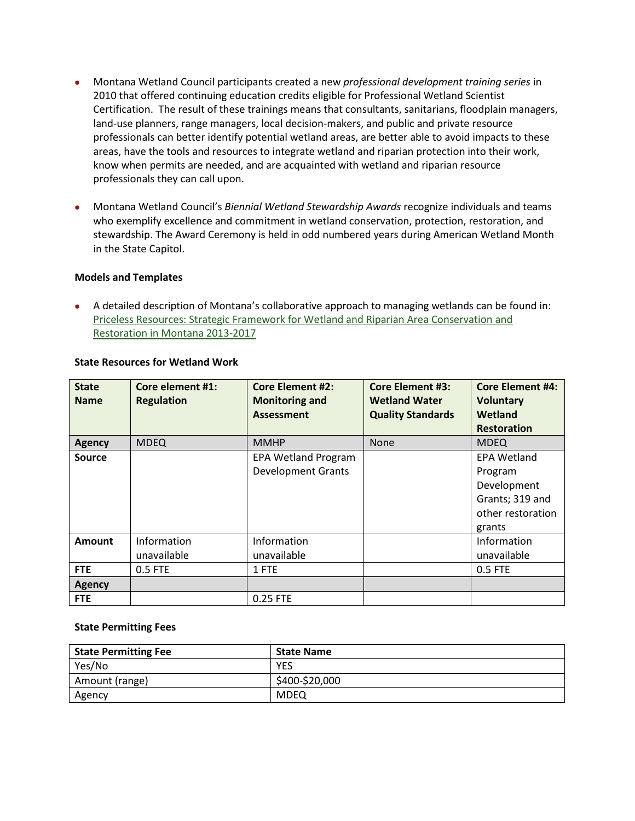- Montana Wetland Council participants created a new *professional development training series* in 2010 that offered continuing education credits eligible for Professional Wetland Scientist Certification. The result of these trainings means that consultants, sanitarians, floodplain managers, land-use planners, range managers, local decision-makers, and public and private resource professionals can better identify potential wetland areas, are better able to avoid impacts to these areas, have the tools and resources to integrate wetland and riparian protection into their work, know when permits are needed, and are acquainted with wetland and riparian resource professionals they can call upon.
- Montana Wetland Council's *Biennial Wetland Stewardship Awards* recognize individuals and teams who exemplify excellence and commitment in wetland conservation, protection, restoration, and stewardship. The Award Ceremony is held in odd numbered years during American Wetland Month in the State Capitol.

#### **Models and Templates**

• A detailed description of Montana's collaborative approach to managing wetlands can be found in: [Priceless Resources: Strategic Framework for Wetland and Riparian Area Conservation and](http://deq.mt.gov/wqinfo/Wetlands/PDFs/StategicFramework2013-2017.pdf)  [Restoration in Montana 2013-2017](http://deq.mt.gov/wqinfo/Wetlands/PDFs/StategicFramework2013-2017.pdf)

| <b>State</b><br><b>Name</b> | Core element #1:<br><b>Regulation</b> | <b>Core Element #2:</b><br><b>Monitoring and</b><br><b>Assessment</b> | <b>Core Element #3:</b><br><b>Wetland Water</b><br><b>Quality Standards</b> | <b>Core Element #4:</b><br><b>Voluntary</b><br>Wetland<br><b>Restoration</b>                   |
|-----------------------------|---------------------------------------|-----------------------------------------------------------------------|-----------------------------------------------------------------------------|------------------------------------------------------------------------------------------------|
| <b>Agency</b>               | <b>MDEQ</b>                           | <b>MMHP</b>                                                           | <b>None</b>                                                                 | <b>MDEQ</b>                                                                                    |
| Source                      |                                       | <b>EPA Wetland Program</b><br><b>Development Grants</b>               |                                                                             | <b>EPA Wetland</b><br>Program<br>Development<br>Grants; 319 and<br>other restoration<br>grants |
| <b>Amount</b>               | Information<br>unavailable            | Information<br>unavailable                                            |                                                                             | Information<br>unavailable                                                                     |
| <b>FTE</b>                  | 0.5 FTE                               | 1 FTE                                                                 |                                                                             | 0.5 FTE                                                                                        |
| <b>Agency</b>               |                                       |                                                                       |                                                                             |                                                                                                |
| <b>FTE</b>                  |                                       | 0.25 FTE                                                              |                                                                             |                                                                                                |

## **State Resources for Wetland Work**

#### **State Permitting Fees**

| <b>State Permitting Fee</b> | <b>State Name</b> |
|-----------------------------|-------------------|
| Yes/No                      | YES               |
| Amount (range)              | \$400-\$20,000    |
| Agency                      | MDEQ              |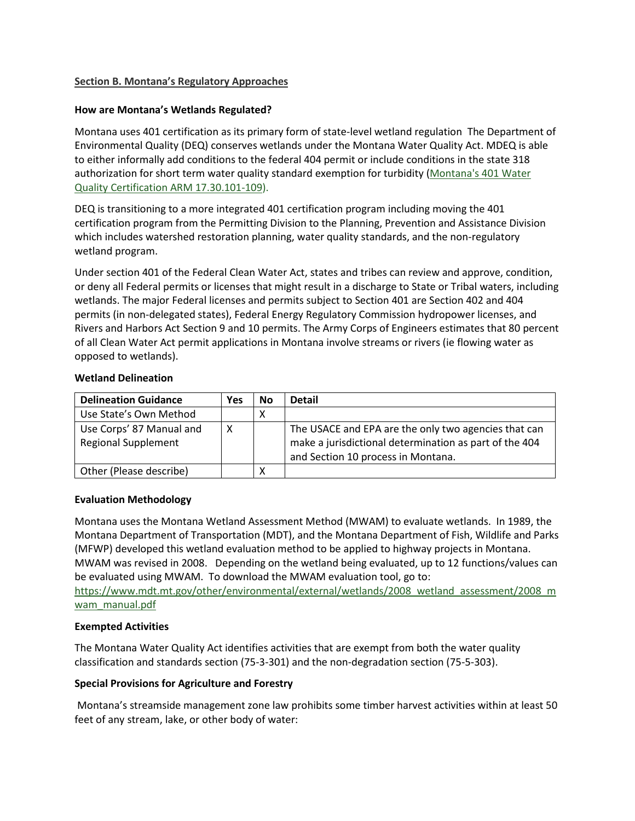## <span id="page-3-0"></span>**Section B. Montana's Regulatory Approaches**

#### **How are Montana's Wetlands Regulated?**

Montana uses 401 certification as its primary form of state-level wetland regulation The Department of Environmental Quality (DEQ) conserves wetlands under the Montana Water Quality Act. MDEQ is able to either informally add conditions to the federal 404 permit or include conditions in the state 318 authorization for short term water quality standard exemption for turbidity [\(Montana's 401 Water](http://deq.mt.gov/dir/Legal/Chapters/Ch30-01.pdf)  [Quality Certification ARM 17.30.101-109\)](http://deq.mt.gov/dir/Legal/Chapters/Ch30-01.pdf).

DEQ is transitioning to a more integrated 401 certification program including moving the 401 certification program from the Permitting Division to the Planning, Prevention and Assistance Division which includes watershed restoration planning, water quality standards, and the non-regulatory wetland program.

Under section 401 of the Federal Clean Water Act, states and tribes can review and approve, condition, or deny all Federal permits or licenses that might result in a discharge to State or Tribal waters, including wetlands. The major Federal licenses and permits subject to Section 401 are Section 402 and 404 permits (in non-delegated states), Federal Energy Regulatory Commission hydropower licenses, and Rivers and Harbors Act Section 9 and 10 permits. The Army Corps of Engineers estimates that 80 percent of all Clean Water Act permit applications in Montana involve streams or rivers (ie flowing water as opposed to wetlands).

#### **Wetland Delineation**

| <b>Delineation Guidance</b>                            | Yes | No | <b>Detail</b>                                                                                                                                        |
|--------------------------------------------------------|-----|----|------------------------------------------------------------------------------------------------------------------------------------------------------|
| Use State's Own Method                                 |     | ∧  |                                                                                                                                                      |
| Use Corps' 87 Manual and<br><b>Regional Supplement</b> | x   |    | The USACE and EPA are the only two agencies that can<br>make a jurisdictional determination as part of the 404<br>and Section 10 process in Montana. |
| Other (Please describe)                                |     | ⋏  |                                                                                                                                                      |

## **Evaluation Methodology**

Montana uses the Montana Wetland Assessment Method (MWAM) to evaluate wetlands. In 1989, the Montana Department of Transportation (MDT), and the Montana Department of Fish, Wildlife and Parks (MFWP) developed this wetland evaluation method to be applied to highway projects in Montana. MWAM was revised in 2008. Depending on the wetland being evaluated, up to 12 functions/values can be evaluated using MWAM. To download the MWAM evaluation tool, go to:

https://www.mdt.mt.gov/other/environmental/external/wetlands/2008 wetland assessment/2008 m wam manual.pdf

#### **Exempted Activities**

The Montana Water Quality Act identifies activities that are exempt from both the water quality classification and standards section (75-3-301) and the non-degradation section (75-5-303).

## **Special Provisions for Agriculture and Forestry**

Montana's streamside management zone law prohibits some timber harvest activities within at least 50 feet of any stream, lake, or other body of water: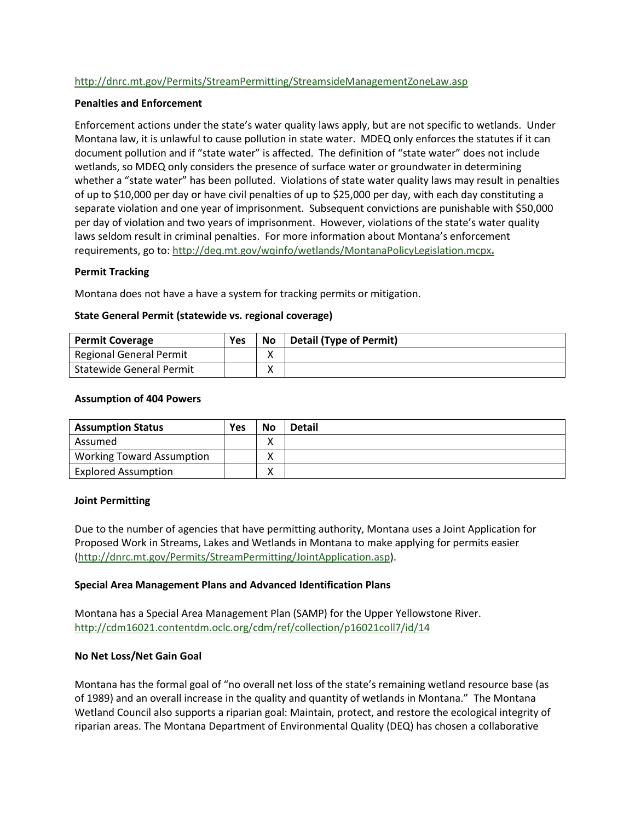## <http://dnrc.mt.gov/Permits/StreamPermitting/StreamsideManagementZoneLaw.asp>

#### **Penalties and Enforcement**

Enforcement actions under the state's water quality laws apply, but are not specific to wetlands. Under Montana law, it is unlawful to cause pollution in state water. MDEQ only enforces the statutes if it can document pollution and if "state water" is affected. The definition of "state water" does not include wetlands, so MDEQ only considers the presence of surface water or groundwater in determining whether a "state water" has been polluted. Violations of state water quality laws may result in penalties of up to \$10,000 per day or have civil penalties of up to \$25,000 per day, with each day constituting a separate violation and one year of imprisonment. Subsequent convictions are punishable with \$50,000 per day of violation and two years of imprisonment. However, violations of the state's water quality laws seldom result in criminal penalties. For more information about Montana's enforcement requirements, go to:<http://deq.mt.gov/wqinfo/wetlands/MontanaPolicyLegislation.mcpx>**.**

#### **Permit Tracking**

Montana does not have a have a system for tracking permits or mitigation.

#### **State General Permit (statewide vs. regional coverage)**

| <b>Permit Coverage</b>          | Yes | <b>No</b> | Detail (Type of Permit) |
|---------------------------------|-----|-----------|-------------------------|
| Regional General Permit         |     |           |                         |
| <b>Statewide General Permit</b> |     |           |                         |

#### **Assumption of 404 Powers**

| <b>Assumption Status</b>         | Yes | <b>No</b>         | <b>Detail</b> |
|----------------------------------|-----|-------------------|---------------|
| Assumed                          |     | $\checkmark$<br>Λ |               |
| <b>Working Toward Assumption</b> |     |                   |               |
| <b>Explored Assumption</b>       |     | Λ                 |               |

#### **Joint Permitting**

Due to the number of agencies that have permitting authority, Montana uses a Joint Application for Proposed Work in Streams, Lakes and Wetlands in Montana to make applying for permits easier [\(http://dnrc.mt.gov/Permits/StreamPermitting/JointApplication.asp\)](http://dnrc.mt.gov/Permits/StreamPermitting/JointApplication.asp).

## **Special Area Management Plans and Advanced Identification Plans**

Montana has a Special Area Management Plan (SAMP) for the Upper Yellowstone River. <http://cdm16021.contentdm.oclc.org/cdm/ref/collection/p16021coll7/id/14>

#### **No Net Loss/Net Gain Goal**

Montana has the formal goal of "no overall net loss of the state's remaining wetland resource base (as of 1989) and an overall increase in the quality and quantity of wetlands in Montana." The Montana Wetland Council also supports a riparian goal: Maintain, protect, and restore the ecological integrity of riparian areas. The Montana Department of Environmental Quality (DEQ) has chosen a collaborative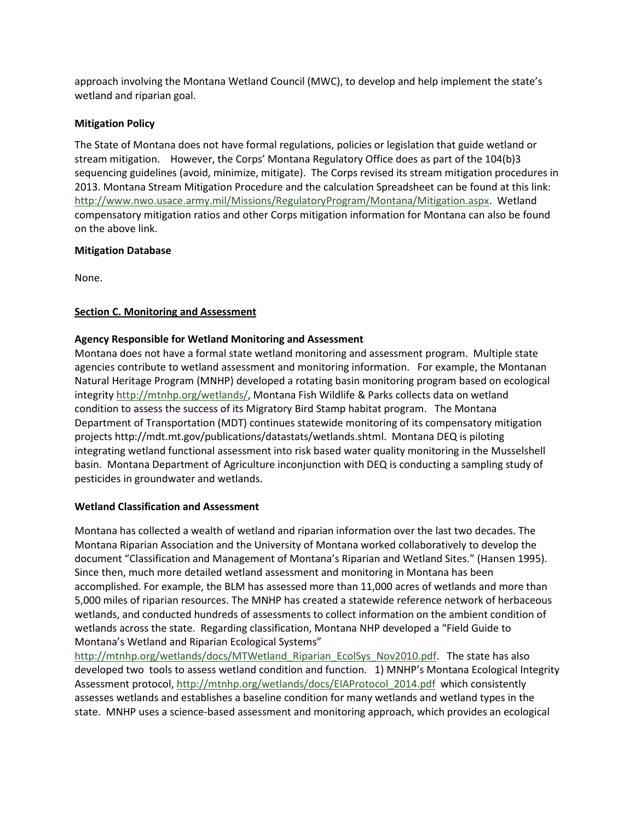approach involving the Montana Wetland Council (MWC), to develop and help implement the state's wetland and riparian goal.

## **Mitigation Policy**

The State of Montana does not have formal regulations, policies or legislation that guide wetland or stream mitigation. However, the Corps' Montana Regulatory Office does as part of the 104(b)3 sequencing guidelines (avoid, minimize, mitigate). The Corps revised its stream mitigation procedures in 2013. Montana Stream Mitigation Procedure and the calculation Spreadsheet can be found at this link: [http://www.nwo.usace.army.mil/Missions/RegulatoryProgram/Montana/Mitigation.aspx.](http://www.nwo.usace.army.mil/Missions/RegulatoryProgram/Montana/Mitigation.aspx) Wetland compensatory mitigation ratios and other Corps mitigation information for Montana can also be found on the above link.

## **Mitigation Database**

<span id="page-5-0"></span>None.

## **Section C. Monitoring and Assessment**

## **Agency Responsible for Wetland Monitoring and Assessment**

Montana does not have a formal state wetland monitoring and assessment program. Multiple state agencies contribute to wetland assessment and monitoring information. For example, the Montanan Natural Heritage Program (MNHP) developed a rotating basin monitoring program based on ecological integrity [http://mtnhp.org/wetlands/,](http://mtnhp.org/wetlands/) Montana Fish Wildlife & Parks collects data on wetland condition to assess the success of its Migratory Bird Stamp habitat program. The Montana Department of Transportation (MDT) continues statewide monitoring of its compensatory mitigation projects http://mdt.mt.gov/publications/datastats/wetlands.shtml. Montana DEQ is piloting integrating wetland functional assessment into risk based water quality monitoring in the Musselshell basin. Montana Department of Agriculture inconjunction with DEQ is conducting a sampling study of pesticides in groundwater and wetlands.

## **Wetland Classification and Assessment**

Montana has collected a wealth of wetland and riparian information over the last two decades. The Montana Riparian Association and the University of Montana worked collaboratively to develop the document "Classification and Management of Montana's Riparian and Wetland Sites." (Hansen 1995). Since then, much more detailed wetland assessment and monitoring in Montana has been accomplished. For example, the BLM has assessed more than 11,000 acres of wetlands and more than 5,000 miles of riparian resources. The MNHP has created a statewide reference network of herbaceous wetlands, and conducted hundreds of assessments to collect information on the ambient condition of wetlands across the state. Regarding classification, Montana NHP developed a "Field Guide to Montana's Wetland and Riparian Ecological Systems"

http://mtnhp.org/wetlands/docs/MTWetland Riparian EcolSys Nov2010.pdf. The state has also developed two tools to assess wetland condition and function. 1) MNHP's Montana Ecological Integrity Assessment protocol, [http://mtnhp.org/wetlands/docs/EIAProtocol\\_2014.pdf](http://mtnhp.org/wetlands/docs/EIAProtocol_2014.pdf) which consistently assesses wetlands and establishes a baseline condition for many wetlands and wetland types in the state. MNHP uses a science-based assessment and monitoring approach, which provides an ecological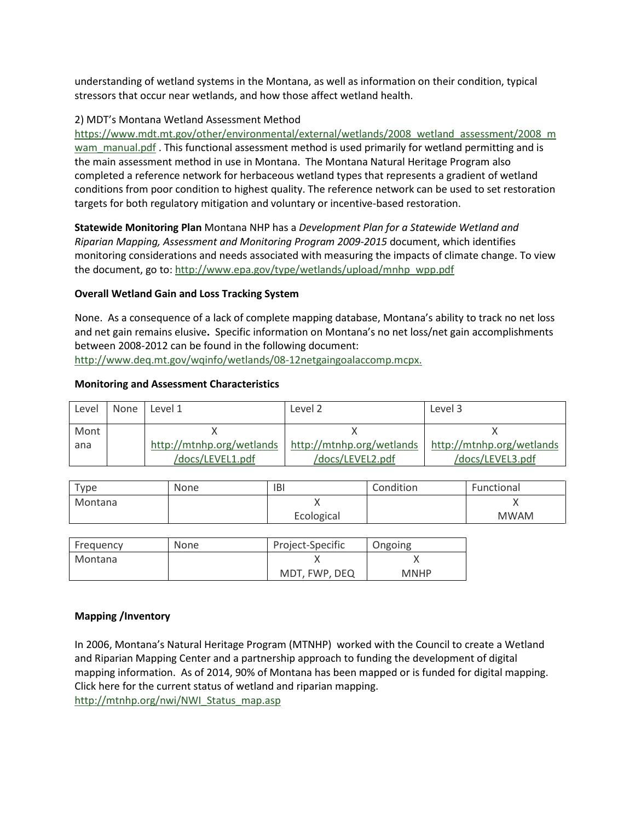understanding of wetland systems in the Montana, as well as information on their condition, typical stressors that occur near wetlands, and how those affect wetland health.

## 2) MDT's Montana Wetland Assessment Method

[https://www.mdt.mt.gov/other/environmental/external/wetlands/2008\\_wetland\\_assessment/2008\\_m](https://www.mdt.mt.gov/other/environmental/external/wetlands/2008_wetland_assessment/2008_mwam_manual.pdf) [wam\\_manual.pdf](https://www.mdt.mt.gov/other/environmental/external/wetlands/2008_wetland_assessment/2008_mwam_manual.pdf) . This functional assessment method is used primarily for wetland permitting and is the main assessment method in use in Montana. The Montana Natural Heritage Program also completed a reference network for herbaceous wetland types that represents a gradient of wetland conditions from poor condition to highest quality. The reference network can be used to set restoration targets for both regulatory mitigation and voluntary or incentive-based restoration.

**Statewide Monitoring Plan** Montana NHP has a *Development Plan for a Statewide Wetland and Riparian Mapping, Assessment and Monitoring Program 2009-2015* document, which identifies monitoring considerations and needs associated with measuring the impacts of climate change. To view the document, go to: [http://www.epa.gov/type/wetlands/upload/mnhp\\_wpp.pdf](http://www.epa.gov/type/wetlands/upload/mnhp_wpp.pdf)

## **Overall Wetland Gain and Loss Tracking System**

None. As a consequence of a lack of complete mapping database, Montana's ability to track no net loss and net gain remains elusive**.** Specific information on Montana's no net loss/net gain accomplishments between 2008-2012 can be found in the following document: [http://www.deq.mt.gov/wqinfo/wetlands/08-12netgaingoalaccomp.mcpx.](http://www.deq.mt.gov/wqinfo/wetlands/08-12netgaingoalaccomp.mcpx)

## **Monitoring and Assessment Characteristics**

| Level | None | Level 1                   | Level 2                   | Level 3                   |
|-------|------|---------------------------|---------------------------|---------------------------|
| Mont  |      |                           |                           |                           |
| ana   |      | http://mtnhp.org/wetlands | http://mtnhp.org/wetlands | http://mtnhp.org/wetlands |
|       |      | /docs/LEVEL1.pdf          | /docs/LEVEL2.pdf          | /docs/LEVEL3.pdf          |

| Type    | None | IB         | Condition | Functional  |
|---------|------|------------|-----------|-------------|
| Montana |      |            |           |             |
|         |      | Ecological |           | <b>MWAM</b> |

| Frequency | None | Project-Specific | Ongoing     |
|-----------|------|------------------|-------------|
| Montana   |      |                  |             |
|           |      | MDT, FWP, DEQ    | <b>MNHP</b> |

## **Mapping /Inventory**

In 2006, Montana's Natural Heritage Program (MTNHP) worked with the Council to create a Wetland and Riparian Mapping Center and a partnership approach to funding the development of digital mapping information.As of 2014, 90% of Montana has been mapped or is funded for digital mapping. Click here for the current status of wetland and riparian mapping. [http://mtnhp.org/nwi/NWI\\_Status\\_map.asp](http://mtnhp.org/nwi/NWI_Status_map.asp)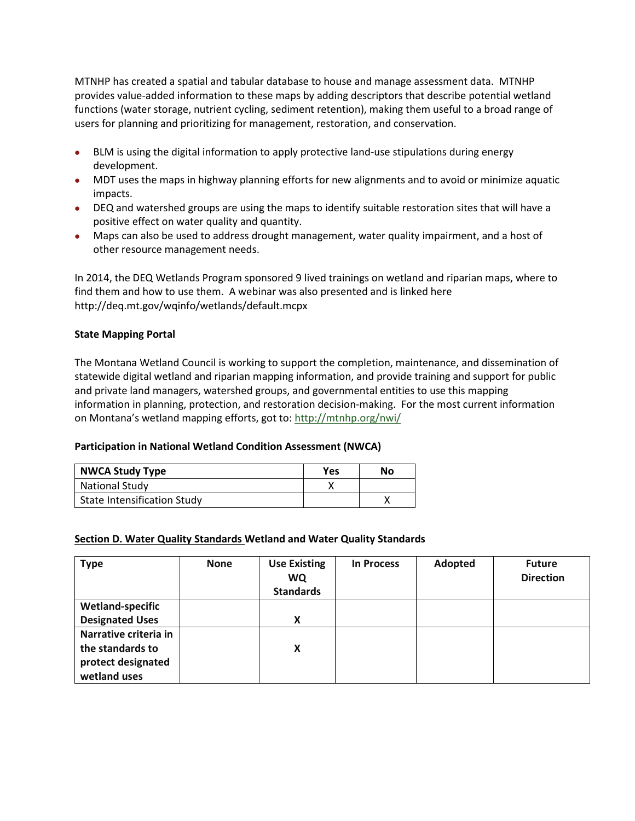MTNHP has created a spatial and tabular database to house and manage assessment data. MTNHP provides value-added information to these maps by adding descriptors that describe potential wetland functions (water storage, nutrient cycling, sediment retention), making them useful to a broad range of users for planning and prioritizing for management, restoration, and conservation.

- BLM is using the digital information to apply protective land-use stipulations during energy development.
- MDT uses the maps in highway planning efforts for new alignments and to avoid or minimize aquatic impacts.
- DEQ and watershed groups are using the maps to identify suitable restoration sites that will have a positive effect on water quality and quantity.
- Maps can also be used to address drought management, water quality impairment, and a host of other resource management needs.

In 2014, the DEQ Wetlands Program sponsored 9 lived trainings on wetland and riparian maps, where to find them and how to use them. A webinar was also presented and is linked here http://deq.mt.gov/wqinfo/wetlands/default.mcpx

## **State Mapping Portal**

The Montana Wetland Council is working to support the completion, maintenance, and dissemination of statewide digital wetland and riparian mapping information, and provide training and support for public and private land managers, watershed groups, and governmental entities to use this mapping information in planning, protection, and restoration decision-making. For the most current information on Montana's wetland mapping efforts, got to:<http://mtnhp.org/nwi/>

## **Participation in National Wetland Condition Assessment (NWCA)**

| <b>NWCA Study Type</b>             | Yes | No |
|------------------------------------|-----|----|
| <b>National Study</b>              |     |    |
| <b>State Intensification Study</b> |     |    |

## <span id="page-7-0"></span>**Section D. Water Quality Standards Wetland and Water Quality Standards**

| <b>Type</b>             | <b>None</b> | <b>Use Existing</b><br><b>WQ</b><br><b>Standards</b> | <b>In Process</b> | Adopted | <b>Future</b><br><b>Direction</b> |
|-------------------------|-------------|------------------------------------------------------|-------------------|---------|-----------------------------------|
| <b>Wetland-specific</b> |             |                                                      |                   |         |                                   |
| <b>Designated Uses</b>  |             | X                                                    |                   |         |                                   |
| Narrative criteria in   |             |                                                      |                   |         |                                   |
| the standards to        |             | Χ                                                    |                   |         |                                   |
| protect designated      |             |                                                      |                   |         |                                   |
| wetland uses            |             |                                                      |                   |         |                                   |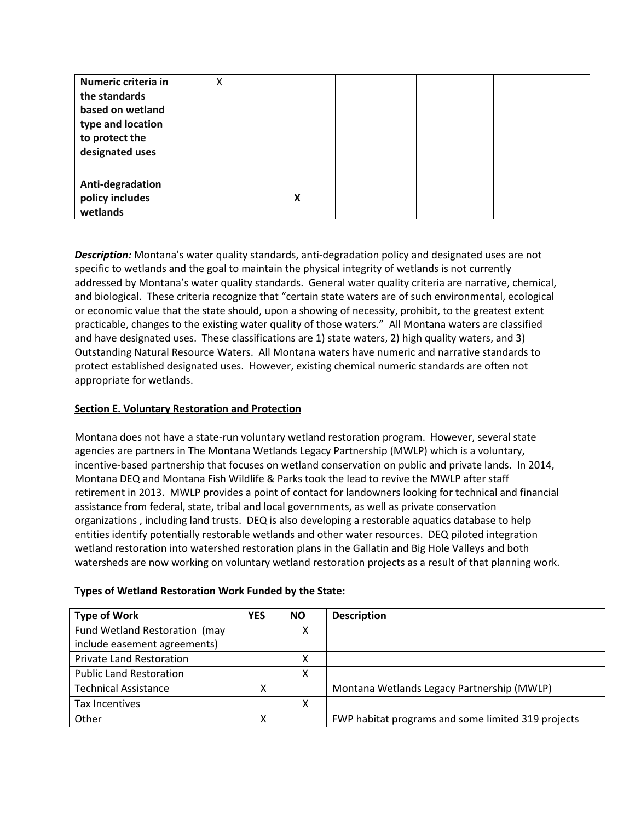| Numeric criteria in<br>the standards<br>based on wetland<br>type and location<br>to protect the<br>designated uses | Χ |   |  |  |
|--------------------------------------------------------------------------------------------------------------------|---|---|--|--|
| Anti-degradation<br>policy includes<br>wetlands                                                                    |   | X |  |  |

*Description:* Montana's water quality standards, anti-degradation policy and designated uses are not specific to wetlands and the goal to maintain the physical integrity of wetlands is not currently addressed by Montana's water quality standards. General water quality criteria are narrative, chemical, and biological. These criteria recognize that "certain state waters are of such environmental, ecological or economic value that the state should, upon a showing of necessity, prohibit, to the greatest extent practicable, changes to the existing water quality of those waters." All Montana waters are classified and have designated uses. These classifications are 1) state waters, 2) high quality waters, and 3) Outstanding Natural Resource Waters. All Montana waters have numeric and narrative standards to protect established designated uses. However, existing chemical numeric standards are often not appropriate for wetlands.

# <span id="page-8-0"></span>**Section E. Voluntary Restoration and Protection**

Montana does not have a state-run voluntary wetland restoration program. However, several state agencies are partners in The Montana Wetlands Legacy Partnership (MWLP) which is a voluntary, incentive-based partnership that focuses on wetland conservation on public and private lands. In 2014, Montana DEQ and Montana Fish Wildlife & Parks took the lead to revive the MWLP after staff retirement in 2013. MWLP provides a point of contact for landowners looking for technical and financial assistance from federal, state, tribal and local governments, as well as private conservation organizations , including land trusts. DEQ is also developing a restorable aquatics database to help entities identify potentially restorable wetlands and other water resources. DEQ piloted integration wetland restoration into watershed restoration plans in the Gallatin and Big Hole Valleys and both watersheds are now working on voluntary wetland restoration projects as a result of that planning work.

| <b>Type of Work</b>             | <b>YES</b> | <b>NO</b> | <b>Description</b>                                 |
|---------------------------------|------------|-----------|----------------------------------------------------|
| Fund Wetland Restoration (may   |            |           |                                                    |
| include easement agreements)    |            |           |                                                    |
| <b>Private Land Restoration</b> |            | x         |                                                    |
| <b>Public Land Restoration</b>  |            |           |                                                    |
| <b>Technical Assistance</b>     | χ          |           | Montana Wetlands Legacy Partnership (MWLP)         |
| Tax Incentives                  |            | v         |                                                    |
| Other                           | х          |           | FWP habitat programs and some limited 319 projects |

## **Types of Wetland Restoration Work Funded by the State:**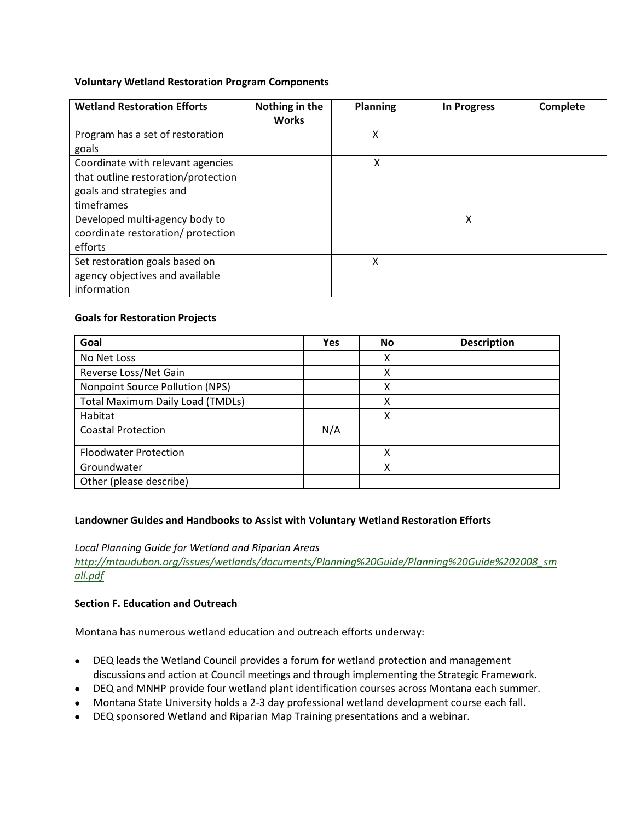## **Voluntary Wetland Restoration Program Components**

| <b>Wetland Restoration Efforts</b>  | Nothing in the<br><b>Works</b> | <b>Planning</b> | <b>In Progress</b> | Complete |
|-------------------------------------|--------------------------------|-----------------|--------------------|----------|
| Program has a set of restoration    |                                | x               |                    |          |
| goals                               |                                |                 |                    |          |
| Coordinate with relevant agencies   |                                | χ               |                    |          |
| that outline restoration/protection |                                |                 |                    |          |
| goals and strategies and            |                                |                 |                    |          |
| timeframes                          |                                |                 |                    |          |
| Developed multi-agency body to      |                                |                 | χ                  |          |
| coordinate restoration/ protection  |                                |                 |                    |          |
| efforts                             |                                |                 |                    |          |
| Set restoration goals based on      |                                | x               |                    |          |
| agency objectives and available     |                                |                 |                    |          |
| information                         |                                |                 |                    |          |

## **Goals for Restoration Projects**

| Goal                                    | <b>Yes</b> | <b>No</b> | <b>Description</b> |
|-----------------------------------------|------------|-----------|--------------------|
| No Net Loss                             |            | Χ         |                    |
| Reverse Loss/Net Gain                   |            | Χ         |                    |
| Nonpoint Source Pollution (NPS)         |            | X         |                    |
| <b>Total Maximum Daily Load (TMDLs)</b> |            | X         |                    |
| Habitat                                 |            | x         |                    |
| <b>Coastal Protection</b>               | N/A        |           |                    |
| <b>Floodwater Protection</b>            |            | χ         |                    |
| Groundwater                             |            | X         |                    |
| Other (please describe)                 |            |           |                    |

## **Landowner Guides and Handbooks to Assist with Voluntary Wetland Restoration Efforts**

## *Local Planning Guide for Wetland and Riparian Areas*

*[http://mtaudubon.org/issues/wetlands/documents/Planning%20Guide/Planning%20Guide%202008\\_sm](http://mtaudubon.org/issues/wetlands/documents/Planning%20Guide/Planning%20Guide%202008_small.pdf) [all.pdf](http://mtaudubon.org/issues/wetlands/documents/Planning%20Guide/Planning%20Guide%202008_small.pdf)* 

## <span id="page-9-0"></span>**Section F. Education and Outreach**

Montana has numerous wetland education and outreach efforts underway:

- DEQ leads the Wetland Council provides a forum for wetland protection and management discussions and action at Council meetings and through implementing the Strategic Framework.
- DEQ and MNHP provide four wetland plant identification courses across Montana each summer.
- Montana State University holds a 2-3 day professional wetland development course each fall.
- DEQ sponsored Wetland and Riparian Map Training presentations and a webinar.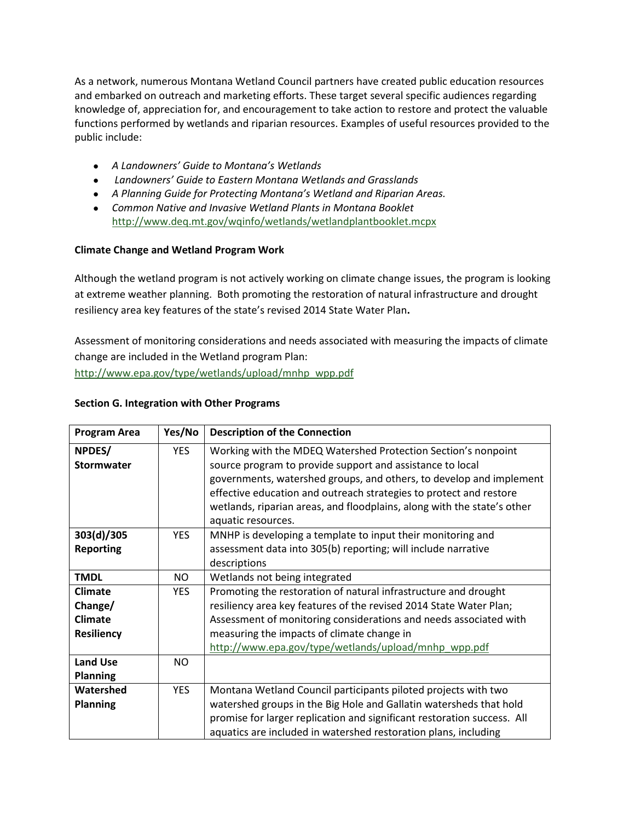As a network, numerous Montana Wetland Council partners have created public education resources and embarked on outreach and marketing efforts. These target several specific audiences regarding knowledge of, appreciation for, and encouragement to take action to restore and protect the valuable functions performed by wetlands and riparian resources. Examples of useful resources provided to the public include:

- *A Landowners' Guide to Montana's Wetlands*
- *Landowners' Guide to Eastern Montana Wetlands and Grasslands*
- *A Planning Guide for Protecting Montana's Wetland and Riparian Areas.*
- *Common Native and Invasive Wetland Plants in Montana Booklet*  <http://www.deq.mt.gov/wqinfo/wetlands/wetlandplantbooklet.mcpx>

## **Climate Change and Wetland Program Work**

Although the wetland program is not actively working on climate change issues, the program is looking at extreme weather planning. Both promoting the restoration of natural infrastructure and drought resiliency area key features of the state's revised 2014 State Water Plan**.** 

Assessment of monitoring considerations and needs associated with measuring the impacts of climate change are included in the Wetland program Plan: [http://www.epa.gov/type/wetlands/upload/mnhp\\_wpp.pdf](http://www.epa.gov/type/wetlands/upload/mnhp_wpp.pdf)

#### <span id="page-10-0"></span>**Section G. Integration with Other Programs**

| <b>Program Area</b> | Yes/No     | <b>Description of the Connection</b>                                    |
|---------------------|------------|-------------------------------------------------------------------------|
| NPDES/              | <b>YES</b> | Working with the MDEQ Watershed Protection Section's nonpoint           |
| <b>Stormwater</b>   |            | source program to provide support and assistance to local               |
|                     |            | governments, watershed groups, and others, to develop and implement     |
|                     |            | effective education and outreach strategies to protect and restore      |
|                     |            | wetlands, riparian areas, and floodplains, along with the state's other |
|                     |            | aquatic resources.                                                      |
| 303(d)/305          | <b>YES</b> | MNHP is developing a template to input their monitoring and             |
| <b>Reporting</b>    |            | assessment data into 305(b) reporting; will include narrative           |
|                     |            | descriptions                                                            |
| <b>TMDL</b>         | NO.        | Wetlands not being integrated                                           |
| <b>Climate</b>      | <b>YES</b> | Promoting the restoration of natural infrastructure and drought         |
| Change/             |            | resiliency area key features of the revised 2014 State Water Plan;      |
| <b>Climate</b>      |            | Assessment of monitoring considerations and needs associated with       |
| <b>Resiliency</b>   |            | measuring the impacts of climate change in                              |
|                     |            | http://www.epa.gov/type/wetlands/upload/mnhp_wpp.pdf                    |
| <b>Land Use</b>     | NO.        |                                                                         |
| <b>Planning</b>     |            |                                                                         |
| Watershed           | <b>YES</b> | Montana Wetland Council participants piloted projects with two          |
| <b>Planning</b>     |            | watershed groups in the Big Hole and Gallatin watersheds that hold      |
|                     |            | promise for larger replication and significant restoration success. All |
|                     |            | aquatics are included in watershed restoration plans, including         |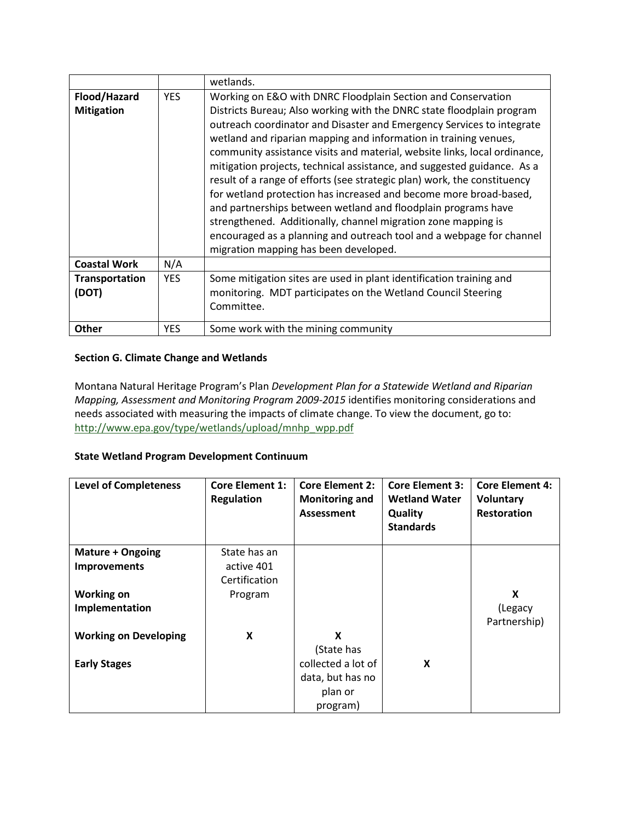|                         |            | wetlands.                                                                                                                                                                                                                                                                                                                                                                                                                                                                                                                                                                                                                                                                                                                                                                      |
|-------------------------|------------|--------------------------------------------------------------------------------------------------------------------------------------------------------------------------------------------------------------------------------------------------------------------------------------------------------------------------------------------------------------------------------------------------------------------------------------------------------------------------------------------------------------------------------------------------------------------------------------------------------------------------------------------------------------------------------------------------------------------------------------------------------------------------------|
| Flood/Hazard            | <b>YES</b> | Working on E&O with DNRC Floodplain Section and Conservation                                                                                                                                                                                                                                                                                                                                                                                                                                                                                                                                                                                                                                                                                                                   |
| <b>Mitigation</b>       |            | Districts Bureau; Also working with the DNRC state floodplain program<br>outreach coordinator and Disaster and Emergency Services to integrate<br>wetland and riparian mapping and information in training venues,<br>community assistance visits and material, website links, local ordinance,<br>mitigation projects, technical assistance, and suggested guidance. As a<br>result of a range of efforts (see strategic plan) work, the constituency<br>for wetland protection has increased and become more broad-based,<br>and partnerships between wetland and floodplain programs have<br>strengthened. Additionally, channel migration zone mapping is<br>encouraged as a planning and outreach tool and a webpage for channel<br>migration mapping has been developed. |
| <b>Coastal Work</b>     | N/A        |                                                                                                                                                                                                                                                                                                                                                                                                                                                                                                                                                                                                                                                                                                                                                                                |
| Transportation<br>(DOT) | <b>YES</b> | Some mitigation sites are used in plant identification training and<br>monitoring. MDT participates on the Wetland Council Steering<br>Committee.                                                                                                                                                                                                                                                                                                                                                                                                                                                                                                                                                                                                                              |
| <b>Other</b>            | YES.       | Some work with the mining community                                                                                                                                                                                                                                                                                                                                                                                                                                                                                                                                                                                                                                                                                                                                            |

# **Section G. Climate Change and Wetlands**

Montana Natural Heritage Program's Plan *Development Plan for a Statewide Wetland and Riparian Mapping, Assessment and Monitoring Program 2009-2015* identifies monitoring considerations and needs associated with measuring the impacts of climate change. To view the document, go to: [http://www.epa.gov/type/wetlands/upload/mnhp\\_wpp.pdf](http://www.epa.gov/type/wetlands/upload/mnhp_wpp.pdf)

# **State Wetland Program Development Continuum**

| <b>Level of Completeness</b> | <b>Core Element 1:</b><br><b>Regulation</b> | <b>Core Element 2:</b><br><b>Monitoring and</b><br><b>Assessment</b> | <b>Core Element 3:</b><br><b>Wetland Water</b><br>Quality<br><b>Standards</b> | <b>Core Element 4:</b><br>Voluntary<br><b>Restoration</b> |
|------------------------------|---------------------------------------------|----------------------------------------------------------------------|-------------------------------------------------------------------------------|-----------------------------------------------------------|
| Mature + Ongoing             | State has an                                |                                                                      |                                                                               |                                                           |
| <b>Improvements</b>          | active 401                                  |                                                                      |                                                                               |                                                           |
|                              | Certification                               |                                                                      |                                                                               |                                                           |
| <b>Working on</b>            | Program                                     |                                                                      |                                                                               | X                                                         |
| Implementation               |                                             |                                                                      |                                                                               | (Legacy                                                   |
|                              |                                             |                                                                      |                                                                               | Partnership)                                              |
| <b>Working on Developing</b> | X                                           | X                                                                    |                                                                               |                                                           |
|                              |                                             | (State has                                                           |                                                                               |                                                           |
| <b>Early Stages</b>          |                                             | collected a lot of                                                   | X                                                                             |                                                           |
|                              |                                             | data, but has no                                                     |                                                                               |                                                           |
|                              |                                             | plan or                                                              |                                                                               |                                                           |
|                              |                                             | program)                                                             |                                                                               |                                                           |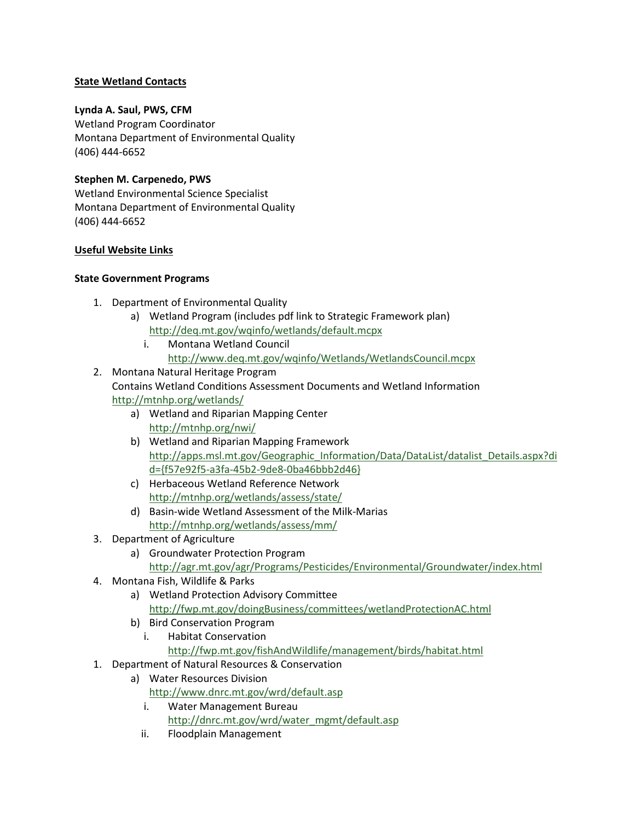# **State Wetland Contacts**

# **Lynda A. Saul, PWS, CFM**

Wetland Program Coordinator Montana Department of Environmental Quality (406) 444-6652

# **Stephen M. Carpenedo, PWS**

Wetland Environmental Science Specialist Montana Department of Environmental Quality (406) 444-6652

## **Useful Website Links**

## **State Government Programs**

- 1. Department of Environmental Quality
	- a) Wetland Program (includes pdf link to Strategic Framework plan) <http://deq.mt.gov/wqinfo/wetlands/default.mcpx>
		- i. Montana Wetland Council <http://www.deq.mt.gov/wqinfo/Wetlands/WetlandsCouncil.mcpx>
- 2. Montana Natural Heritage Program Contains Wetland Conditions Assessment Documents and Wetland Information <http://mtnhp.org/wetlands/>
	- a) Wetland and Riparian Mapping Center <http://mtnhp.org/nwi/>
	- b) Wetland and Riparian Mapping Framework [http://apps.msl.mt.gov/Geographic\\_Information/Data/DataList/datalist\\_Details.aspx?di](http://apps.msl.mt.gov/Geographic_Information/Data/DataList/datalist_Details.aspx?did=%7bf57e92f5-a3fa-45b2-9de8-0ba46bbb2d46%7d) [d={f57e92f5-a3fa-45b2-9de8-0ba46bbb2d46}](http://apps.msl.mt.gov/Geographic_Information/Data/DataList/datalist_Details.aspx?did=%7bf57e92f5-a3fa-45b2-9de8-0ba46bbb2d46%7d)
	- c) Herbaceous Wetland Reference Network <http://mtnhp.org/wetlands/assess/state/>
	- d) Basin-wide Wetland Assessment of the Milk-Marias <http://mtnhp.org/wetlands/assess/mm/>
- 3. Department of Agriculture
	- a) Groundwater Protection Program <http://agr.mt.gov/agr/Programs/Pesticides/Environmental/Groundwater/index.html>
- 4. Montana Fish, Wildlife & Parks
	- a) Wetland Protection Advisory Committee <http://fwp.mt.gov/doingBusiness/committees/wetlandProtectionAC.html>
	- b) Bird Conservation Program
		- i. Habitat Conservation
			- <http://fwp.mt.gov/fishAndWildlife/management/birds/habitat.html>
- 1. Department of Natural Resources & Conservation
	- a) Water Resources Division <http://www.dnrc.mt.gov/wrd/default.asp>
		- i. Water Management Bureau [http://dnrc.mt.gov/wrd/water\\_mgmt/default.asp](http://dnrc.mt.gov/wrd/water_mgmt/default.asp)
		- ii. Floodplain Management